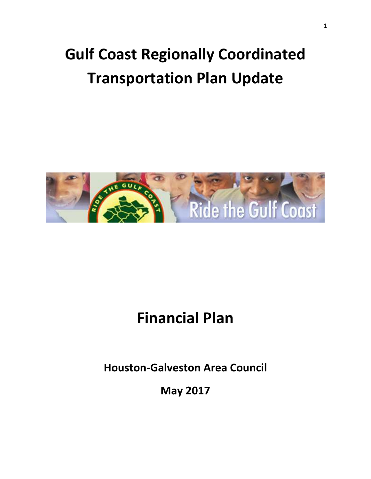# **Gulf Coast Regionally Coordinated Transportation Plan Update**



# **Financial Plan**

**Houston-Galveston Area Council**

**May 2017**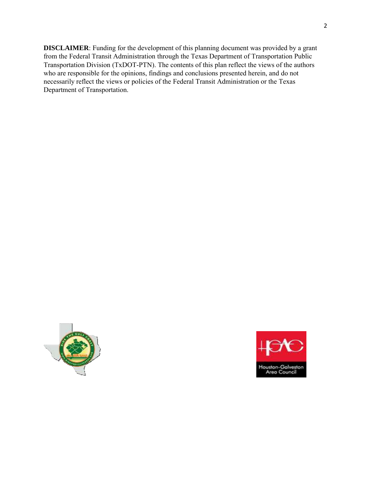**DISCLAIMER: Funding for the development of this planning document was provided by a grant from the Federal Transit Administration through the Texas Department of Transportation Public Transportation Division (TxDOT-PTN). The contents of this plan reflect the views of the authors who are responsible for the opinions, findings and conclusions presented herein, and do not necessarily reflect the views or policies of the Federal Transit Administration or the Texas Department of Transportation.** 



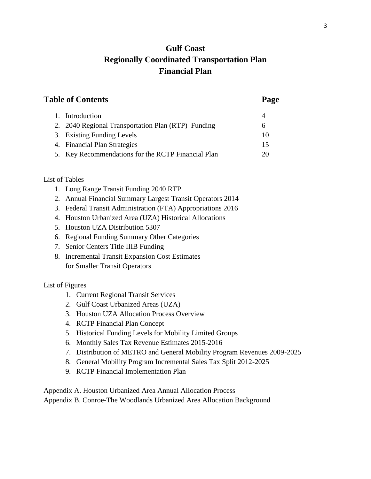# **Gulf Coast Regionally Coordinated Transportation Plan Financial Plan**

# **Table of Contents Page**

| 1. Introduction                                    |    |
|----------------------------------------------------|----|
| 2. 2040 Regional Transportation Plan (RTP) Funding | h  |
| 3. Existing Funding Levels                         | 10 |
| 4. Financial Plan Strategies                       | 15 |
| 5. Key Recommendations for the RCTP Financial Plan | 20 |

#### List of Tables

- 1. Long Range Transit Funding 2040 RTP
- 2. Annual Financial Summary Largest Transit Operators 2014
- 3. Federal Transit Administration (FTA) Appropriations 2016
- 4. Houston Urbanized Area (UZA) Historical Allocations
- 5. Houston UZA Distribution 5307
- 6. Regional Funding Summary Other Categories
- 7. Senior Centers Title IIIB Funding
- 8. Incremental Transit Expansion Cost Estimates for Smaller Transit Operators

# List of Figures

- 1. Current Regional Transit Services
- 2. Gulf Coast Urbanized Areas (UZA)
- 3. Houston UZA Allocation Process Overview
- 4. RCTP Financial Plan Concept
- 5. Historical Funding Levels for Mobility Limited Groups
- 6. Monthly Sales Tax Revenue Estimates 2015-2016
- 7. Distribution of METRO and General Mobility Program Revenues 2009-2025
- 8. General Mobility Program Incremental Sales Tax Split 2012-2025
- 9. RCTP Financial Implementation Plan

Appendix A. Houston Urbanized Area Annual Allocation Process Appendix B. Conroe-The Woodlands Urbanized Area Allocation Background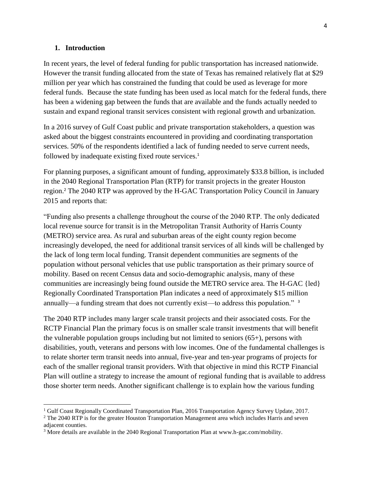#### **1. Introduction**

 $\overline{\phantom{a}}$ 

In recent years, the level of federal funding for public transportation has increased nationwide. However the transit funding allocated from the state of Texas has remained relatively flat at \$29 million per year which has constrained the funding that could be used as leverage for more federal funds. Because the state funding has been used as local match for the federal funds, there has been a widening gap between the funds that are available and the funds actually needed to sustain and expand regional transit services consistent with regional growth and urbanization.

In a 2016 survey of Gulf Coast public and private transportation stakeholders, a question was asked about the biggest constraints encountered in providing and coordinating transportation services. 50% of the respondents identified a lack of funding needed to serve current needs, followed by inadequate existing fixed route services.<sup>1</sup>

For planning purposes, a significant amount of funding, approximately \$33.8 billion, is included in the 2040 Regional Transportation Plan (RTP) for transit projects in the greater Houston region.<sup>2</sup> The 2040 RTP was approved by the H-GAC Transportation Policy Council in January 2015 and reports that:

"Funding also presents a challenge throughout the course of the 2040 RTP. The only dedicated local revenue source for transit is in the Metropolitan Transit Authority of Harris County (METRO) service area. As rural and suburban areas of the eight county region become increasingly developed, the need for additional transit services of all kinds will be challenged by the lack of long term local funding. Transit dependent communities are segments of the population without personal vehicles that use public transportation as their primary source of mobility. Based on recent Census data and socio-demographic analysis, many of these communities are increasingly being found outside the METRO service area. The H-GAC {led} Regionally Coordinated Transportation Plan indicates a need of approximately \$15 million annually—a funding stream that does not currently exist—to address this population." <sup>3</sup>

The 2040 RTP includes many larger scale transit projects and their associated costs. For the RCTP Financial Plan the primary focus is on smaller scale transit investments that will benefit the vulnerable population groups including but not limited to seniors (65+), persons with disabilities, youth, veterans and persons with low incomes. One of the fundamental challenges is to relate shorter term transit needs into annual, five-year and ten-year programs of projects for each of the smaller regional transit providers. With that objective in mind this RCTP Financial Plan will outline a strategy to increase the amount of regional funding that is available to address those shorter term needs. Another significant challenge is to explain how the various funding

<sup>&</sup>lt;sup>1</sup> Gulf Coast Regionally Coordinated Transportation Plan, 2016 Transportation Agency Survey Update, 2017.

<sup>&</sup>lt;sup>2</sup> The 2040 RTP is for the greater Houston Transportation Management area which includes Harris and seven adjacent counties.

<sup>3</sup> More details are available in the 2040 Regional Transportation Plan at www.h-gac.com/mobility.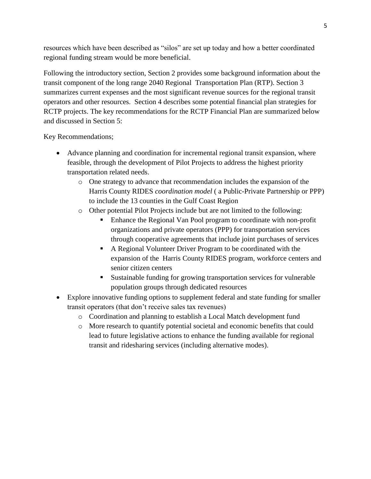resources which have been described as "silos" are set up today and how a better coordinated regional funding stream would be more beneficial.

Following the introductory section, Section 2 provides some background information about the transit component of the long range 2040 Regional Transportation Plan (RTP). Section 3 summarizes current expenses and the most significant revenue sources for the regional transit operators and other resources. Section 4 describes some potential financial plan strategies for RCTP projects. The key recommendations for the RCTP Financial Plan are summarized below and discussed in Section 5:

Key Recommendations;

- Advance planning and coordination for incremental regional transit expansion, where feasible, through the development of Pilot Projects to address the highest priority transportation related needs.
	- o One strategy to advance that recommendation includes the expansion of the Harris County RIDES *coordination model* ( a Public-Private Partnership or PPP) to include the 13 counties in the Gulf Coast Region
	- o Other potential Pilot Projects include but are not limited to the following:
		- Enhance the Regional Van Pool program to coordinate with non-profit organizations and private operators (PPP) for transportation services through cooperative agreements that include joint purchases of services
		- A Regional Volunteer Driver Program to be coordinated with the expansion of the Harris County RIDES program, workforce centers and senior citizen centers
		- Sustainable funding for growing transportation services for vulnerable population groups through dedicated resources
- Explore innovative funding options to supplement federal and state funding for smaller transit operators (that don't receive sales tax revenues)
	- o Coordination and planning to establish a Local Match development fund
	- o More research to quantify potential societal and economic benefits that could lead to future legislative actions to enhance the funding available for regional transit and ridesharing services (including alternative modes).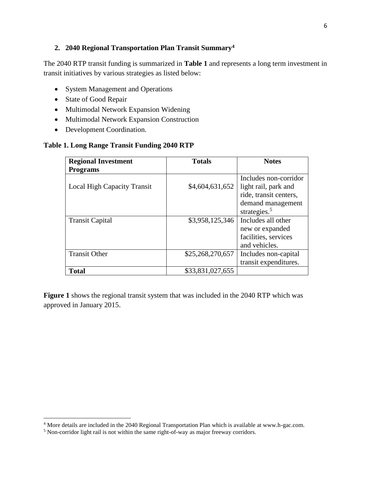#### **2. 2040 Regional Transportation Plan Transit Summary<sup>4</sup>**

The 2040 RTP transit funding is summarized in **Table 1** and represents a long term investment in transit initiatives by various strategies as listed below:

- System Management and Operations
- State of Good Repair
- Multimodal Network Expansion Widening
- Multimodal Network Expansion Construction
- Development Coordination.

#### **Table 1. Long Range Transit Funding 2040 RTP**

| <b>Regional Investment</b>         | <b>Totals</b>    | <b>Notes</b>           |
|------------------------------------|------------------|------------------------|
| <b>Programs</b>                    |                  |                        |
|                                    |                  | Includes non-corridor  |
| <b>Local High Capacity Transit</b> | \$4,604,631,652  | light rail, park and   |
|                                    |                  | ride, transit centers, |
|                                    |                  | demand management      |
|                                    |                  | strategies. $5$        |
| <b>Transit Capital</b>             | \$3,958,125,346  | Includes all other     |
|                                    |                  | new or expanded        |
|                                    |                  | facilities, services   |
|                                    |                  | and vehicles.          |
| <b>Transit Other</b>               | \$25,268,270,657 | Includes non-capital   |
|                                    |                  | transit expenditures.  |
| <b>Total</b>                       | \$33,831,027,655 |                        |

**Figure 1** shows the regional transit system that was included in the 2040 RTP which was approved in January 2015.

<sup>&</sup>lt;sup>4</sup> More details are included in the 2040 Regional Transportation Plan which is available at www.h-gac.com.

<sup>&</sup>lt;sup>5</sup> Non-corridor light rail is not within the same right-of-way as major freeway corridors.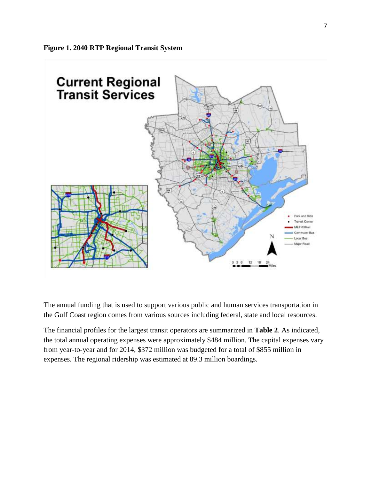

The annual funding that is used to support various public and human services transportation in the Gulf Coast region comes from various sources including federal, state and local resources.

The financial profiles for the largest transit operators are summarized in **Table 2**. As indicated, the total annual operating expenses were approximately \$484 million. The capital expenses vary from year-to-year and for 2014, \$372 million was budgeted for a total of \$855 million in expenses. The regional ridership was estimated at 89.3 million boardings.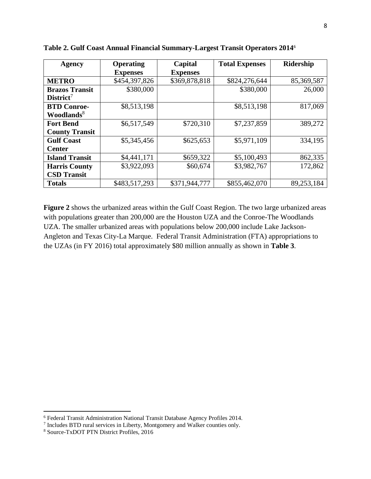| <b>Agency</b>          | <b>Operating</b> | Capital         | <b>Total Expenses</b> | <b>Ridership</b> |
|------------------------|------------------|-----------------|-----------------------|------------------|
|                        | <b>Expenses</b>  | <b>Expenses</b> |                       |                  |
| <b>METRO</b>           | \$454,397,826    | \$369,878,818   | \$824,276,644         | 85,369,587       |
| <b>Brazos Transit</b>  | \$380,000        |                 | \$380,000             | 26,000           |
| $District7$            |                  |                 |                       |                  |
| <b>BTD Conroe-</b>     | \$8,513,198      |                 | \$8,513,198           | 817,069          |
| Woodlands <sup>8</sup> |                  |                 |                       |                  |
| <b>Fort Bend</b>       | \$6,517,549      | \$720,310       | \$7,237,859           | 389,272          |
| <b>County Transit</b>  |                  |                 |                       |                  |
| <b>Gulf Coast</b>      | \$5,345,456      | \$625,653       | \$5,971,109           | 334,195          |
| <b>Center</b>          |                  |                 |                       |                  |
| <b>Island Transit</b>  | \$4,441,171      | \$659,322       | \$5,100,493           | 862,335          |
| <b>Harris County</b>   | \$3,922,093      | \$60,674        | \$3,982,767           | 172,862          |
| <b>CSD Transit</b>     |                  |                 |                       |                  |
| <b>Totals</b>          | \$483,517,293    | \$371,944,777   | \$855,462,070         | 89,253,184       |

**Table 2. Gulf Coast Annual Financial Summary-Largest Transit Operators 2014**<sup>6</sup>

**Figure 2** shows the urbanized areas within the Gulf Coast Region. The two large urbanized areas with populations greater than 200,000 are the Houston UZA and the Conroe-The Woodlands UZA. The smaller urbanized areas with populations below 200,000 include Lake Jackson-Angleton and Texas City-La Marque. Federal Transit Administration (FTA) appropriations to the UZAs (in FY 2016) total approximately \$80 million annually as shown in **Table 3**.

<sup>&</sup>lt;sup>6</sup> Federal Transit Administration National Transit Database Agency Profiles 2014.

<sup>7</sup> Includes BTD rural services in Liberty, Montgomery and Walker counties only.

<sup>8</sup> Source-TxDOT PTN District Profiles, 2016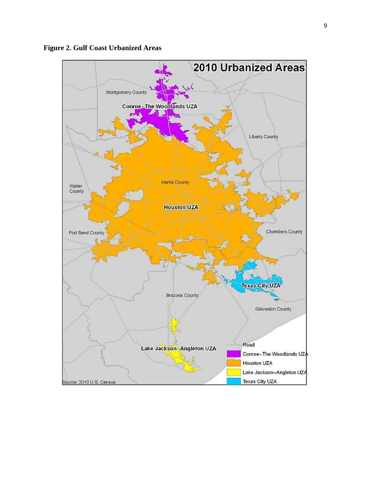

**Figure 2. Gulf Coast Urbanized Areas**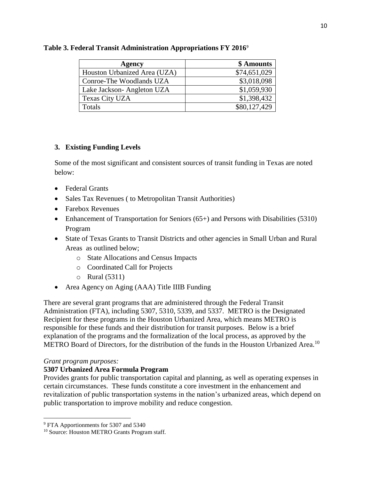| Agency                       | \$ Amounts   |
|------------------------------|--------------|
| Houston Urbanized Area (UZA) | \$74,651,029 |
| Conroe-The Woodlands UZA     | \$3,018,098  |
| Lake Jackson-Angleton UZA    | \$1,059,930  |
| Texas City UZA               | \$1,398,432  |
| Totals                       | \$80,127,429 |

#### **Table 3. Federal Transit Administration Appropriations FY 2016**<sup>9</sup>

#### **3. Existing Funding Levels**

Some of the most significant and consistent sources of transit funding in Texas are noted below:

- Federal Grants
- Sales Tax Revenues (to Metropolitan Transit Authorities)
- Farebox Revenues
- Enhancement of Transportation for Seniors (65+) and Persons with Disabilities (5310) Program
- State of Texas Grants to Transit Districts and other agencies in Small Urban and Rural Areas as outlined below;
	- o State Allocations and Census Impacts
	- o Coordinated Call for Projects
	- o Rural (5311)
- Area Agency on Aging (AAA) Title IIIB Funding

There are several grant programs that are administered through the Federal Transit Administration (FTA), including 5307, 5310, 5339, and 5337. METRO is the Designated Recipient for these programs in the Houston Urbanized Area, which means METRO is responsible for these funds and their distribution for transit purposes. Below is a brief explanation of the programs and the formalization of the local process, as approved by the METRO Board of Directors, for the distribution of the funds in the Houston Urbanized Area.<sup>10</sup>

#### *Grant program purposes:*

 $\overline{\phantom{a}}$ 

#### **5307 Urbanized Area Formula Program**

Provides grants for public transportation capital and planning, as well as operating expenses in certain circumstances. These funds constitute a core investment in the enhancement and revitalization of public transportation systems in the nation's urbanized areas, which depend on public transportation to improve mobility and reduce congestion.

<sup>&</sup>lt;sup>9</sup> FTA Apportionments for 5307 and 5340

<sup>&</sup>lt;sup>10</sup> Source: Houston METRO Grants Program staff.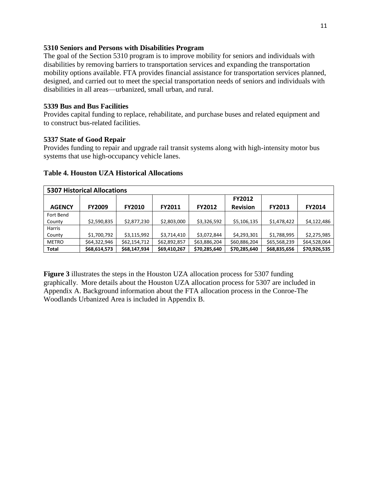#### **5310 Seniors and Persons with Disabilities Program**

The goal of the Section 5310 program is to improve mobility for seniors and individuals with disabilities by removing barriers to transportation services and expanding the transportation mobility options available. FTA provides financial assistance for transportation services planned, designed, and carried out to meet the special transportation needs of seniors and individuals with disabilities in all areas—urbanized, small urban, and rural.

#### **5339 Bus and Bus Facilities**

Provides capital funding to replace, rehabilitate, and purchase buses and related equipment and to construct bus-related facilities.

#### **5337 State of Good Repair**

Provides funding to repair and upgrade rail transit systems along with high-intensity motor bus systems that use high-occupancy vehicle lanes.

| <b>5307 Historical Allocations</b> |               |               |               |               |                                  |               |               |
|------------------------------------|---------------|---------------|---------------|---------------|----------------------------------|---------------|---------------|
| <b>AGENCY</b>                      | <b>FY2009</b> | <b>FY2010</b> | <b>FY2011</b> | <b>FY2012</b> | <b>FY2012</b><br><b>Revision</b> | <b>FY2013</b> | <b>FY2014</b> |
| Fort Bend                          |               |               |               |               |                                  |               |               |
| County                             | \$2,590,835   | \$2,877,230   | \$2,803,000   | \$3,326,592   | \$5,106,135                      | \$1,478,422   | \$4,122,486   |
| <b>Harris</b>                      |               |               |               |               |                                  |               |               |
| County                             | \$1,700,792   | \$3,115,992   | \$3,714,410   | \$3,072,844   | \$4,293,301                      | \$1,788,995   | \$2,275,985   |
| <b>METRO</b>                       | \$64,322,946  | \$62,154,712  | \$62,892,857  | \$63,886,204  | \$60,886,204                     | \$65,568,239  | \$64,528,064  |
| <b>Total</b>                       | \$68,614,573  | \$68,147,934  | \$69,410,267  | \$70,285,640  | \$70,285,640                     | \$68,835,656  | \$70,926,535  |

#### **Table 4. Houston UZA Historical Allocations**

**Figure 3** illustrates the steps in the Houston UZA allocation process for 5307 funding graphically. More details about the Houston UZA allocation process for 5307 are included in Appendix A. Background information about the FTA allocation process in the Conroe-The Woodlands Urbanized Area is included in Appendix B.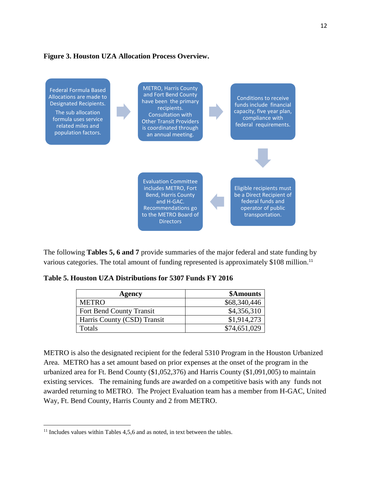#### **Figure 3. Houston UZA Allocation Process Overview.**



The following **Tables 5, 6 and 7** provide summaries of the major federal and state funding by various categories. The total amount of funding represented is approximately \$108 million.<sup>11</sup>

| Table 5. Houston UZA Distributions for 5307 Funds FY 2016 |  |  |  |  |  |  |  |
|-----------------------------------------------------------|--|--|--|--|--|--|--|
|-----------------------------------------------------------|--|--|--|--|--|--|--|

| Agency                          | \$Amounts    |
|---------------------------------|--------------|
| <b>METRO</b>                    | \$68,340,446 |
| <b>Fort Bend County Transit</b> | \$4,356,310  |
| Harris County (CSD) Transit     | \$1,914,273  |
| Totals                          | \$74,651,029 |

METRO is also the designated recipient for the federal 5310 Program in the Houston Urbanized Area. METRO has a set amount based on prior expenses at the onset of the program in the urbanized area for Ft. Bend County (\$1,052,376) and Harris County (\$1,091,005) to maintain existing services. The remaining funds are awarded on a competitive basis with any funds not awarded returning to METRO. The Project Evaluation team has a member from H-GAC, United Way, Ft. Bend County, Harris County and 2 from METRO.

 $11$  Includes values within Tables 4,5,6 and as noted, in text between the tables.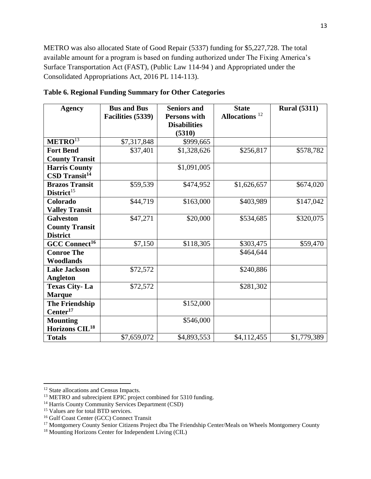METRO was also allocated State of Good Repair (5337) funding for \$5,227,728. The total available amount for a program is based on funding authorized under The Fixing America's Surface Transportation Act (FAST), (Public Law 114-94 ) and Appropriated under the Consolidated Appropriations Act, 2016 PL 114-113).

| <b>Agency</b>               | <b>Bus and Bus</b> | <b>Seniors and</b>  |                           | <b>Rural</b> (5311) |
|-----------------------------|--------------------|---------------------|---------------------------|---------------------|
|                             | Facilities (5339)  | <b>Persons with</b> | Allocations <sup>12</sup> |                     |
|                             |                    | <b>Disabilities</b> |                           |                     |
|                             |                    | (5310)              |                           |                     |
| $METRO^{13}$                | \$7,317,848        | \$999,665           |                           |                     |
| <b>Fort Bend</b>            | \$37,401           | \$1,328,626         | \$256,817                 | \$578,782           |
| <b>County Transit</b>       |                    |                     |                           |                     |
| <b>Harris County</b>        |                    | \$1,091,005         |                           |                     |
| $CSD$ Transit <sup>14</sup> |                    |                     |                           |                     |
| <b>Brazos Transit</b>       | \$59,539           | \$474,952           | \$1,626,657               | \$674,020           |
| District <sup>15</sup>      |                    |                     |                           |                     |
| Colorado                    | \$44,719           | \$163,000           | \$403,989                 | \$147,042           |
| <b>Valley Transit</b>       |                    |                     |                           |                     |
| <b>Galveston</b>            | \$47,271           | \$20,000            | \$534,685                 | \$320,075           |
| <b>County Transit</b>       |                    |                     |                           |                     |
| <b>District</b>             |                    |                     |                           |                     |
| GCC Connect <sup>16</sup>   | \$7,150            | \$118,305           | \$303,475                 | \$59,470            |
| <b>Conroe The</b>           |                    |                     | \$464,644                 |                     |
| <b>Woodlands</b>            |                    |                     |                           |                     |
| <b>Lake Jackson</b>         | \$72,572           |                     | \$240,886                 |                     |
| <b>Angleton</b>             |                    |                     |                           |                     |
| <b>Texas City-La</b>        | \$72,572           |                     | \$281,302                 |                     |
| <b>Marque</b>               |                    |                     |                           |                     |
| <b>The Friendship</b>       |                    | \$152,000           |                           |                     |
| Center <sup>17</sup>        |                    |                     |                           |                     |
| <b>Mounting</b>             |                    | \$546,000           |                           |                     |
| Horizons CIL <sup>18</sup>  |                    |                     |                           |                     |
| <b>Totals</b>               | \$7,659,072        | \$4,893,553         | \$4,112,455               | \$1,779,389         |

**Table 6. Regional Funding Summary for Other Categories**

<sup>&</sup>lt;sup>12</sup> State allocations and Census Impacts.

<sup>&</sup>lt;sup>13</sup> METRO and subrecipient EPIC project combined for 5310 funding.

<sup>&</sup>lt;sup>14</sup> Harris County Community Services Department (CSD)

<sup>&</sup>lt;sup>15</sup> Values are for total BTD services.

<sup>&</sup>lt;sup>16</sup> Gulf Coast Center (GCC) Connect Transit

<sup>&</sup>lt;sup>17</sup> Montgomery County Senior Citizens Project dba The Friendship Center/Meals on Wheels Montgomery County

<sup>18</sup> Mounting Horizons Center for Independent Living (CIL)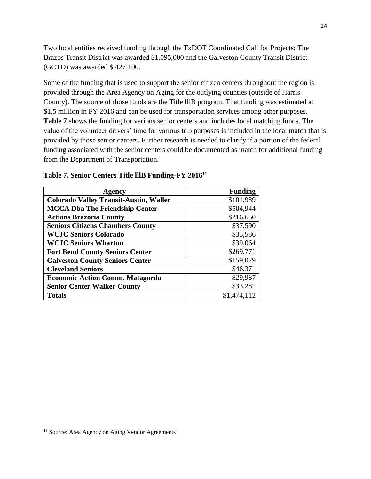Two local entities received funding through the TxDOT Coordinated Call for Projects; The Brazos Transit District was awarded \$1,095,000 and the Galveston County Transit District (GCTD) was awarded \$ 427,100.

Some of the funding that is used to support the senior citizen centers throughout the region is provided through the Area Agency on Aging for the outlying counties (outside of Harris County). The source of those funds are the Title lllB program. That funding was estimated at \$1.5 million in FY 2016 and can be used for transportation services among other purposes. **Table 7** shows the funding for various senior centers and includes local matching funds. The value of the volunteer drivers' time for various trip purposes is included in the local match that is provided by those senior centers. Further research is needed to clarify if a portion of the federal funding associated with the senior centers could be documented as match for additional funding from the Department of Transportation.

| Agency                                        | <b>Funding</b> |
|-----------------------------------------------|----------------|
| <b>Colorado Valley Transit-Austin, Waller</b> | \$101,989      |
| <b>MCCA Dba The Friendship Center</b>         | \$504,944      |
| <b>Actions Brazoria County</b>                | \$216,650      |
| <b>Seniors Citizens Chambers County</b>       | \$37,590       |
| <b>WCJC Seniors Colorado</b>                  | \$35,586       |
| <b>WCJC Seniors Wharton</b>                   | \$39,064       |
| <b>Fort Bend County Seniors Center</b>        | \$269,771      |
| <b>Galveston County Seniors Center</b>        | \$159,079      |
| <b>Cleveland Seniors</b>                      | \$46,371       |
| <b>Economic Action Comm. Matagorda</b>        | \$29,987       |
| <b>Senior Center Walker County</b>            | \$33,281       |
| <b>Totals</b>                                 | \$1,474,112    |

#### **Table 7. Senior Centers Title lllB Funding-FY 2016**<sup>19</sup>

<sup>&</sup>lt;sup>19</sup> Source: Area Agency on Aging Vendor Agreements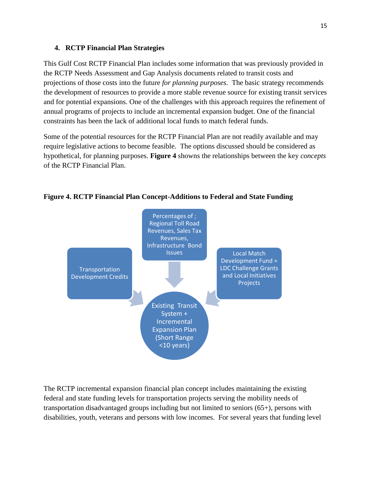#### **4. RCTP Financial Plan Strategies**

This Gulf Cost RCTP Financial Plan includes some information that was previously provided in the RCTP Needs Assessment and Gap Analysis documents related to transit costs and projections of those costs into the future *for planning purposes*. The basic strategy recommends the development of resources to provide a more stable revenue source for existing transit services and for potential expansions. One of the challenges with this approach requires the refinement of annual programs of projects to include an incremental expansion budget. One of the financial constraints has been the lack of additional local funds to match federal funds.

Some of the potential resources for the RCTP Financial Plan are not readily available and may require legislative actions to become feasible. The options discussed should be considered as hypothetical, for planning purposes. **Figure 4** showns the relationships between the key *concepts* of the RCTP Financial Plan.



**Figure 4. RCTP Financial Plan Concept-Additions to Federal and State Funding**

The RCTP incremental expansion financial plan concept includes maintaining the existing federal and state funding levels for transportation projects serving the mobility needs of transportation disadvantaged groups including but not limited to seniors (65+), persons with disabilities, youth, veterans and persons with low incomes. For several years that funding level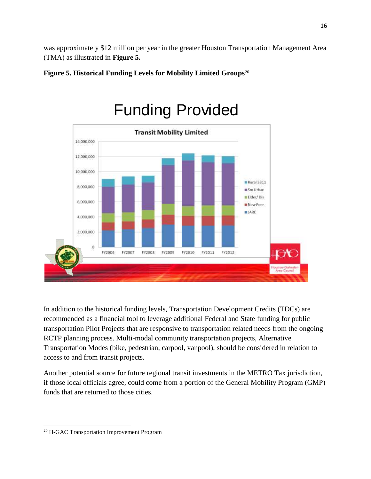was approximately \$12 million per year in the greater Houston Transportation Management Area (TMA) as illustrated in **Figure 5.**





In addition to the historical funding levels, Transportation Development Credits (TDCs) are recommended as a financial tool to leverage additional Federal and State funding for public transportation Pilot Projects that are responsive to transportation related needs from the ongoing RCTP planning process. Multi-modal community transportation projects, Alternative Transportation Modes (bike, pedestrian, carpool, vanpool), should be considered in relation to access to and from transit projects.

Another potential source for future regional transit investments in the METRO Tax jurisdiction, if those local officials agree, could come from a portion of the General Mobility Program (GMP) funds that are returned to those cities.

 $\overline{\phantom{a}}$ <sup>20</sup> H-GAC Transportation Improvement Program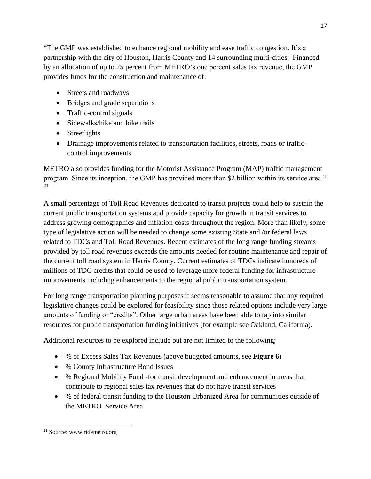"The GMP was established to enhance regional mobility and ease traffic congestion. It's a partnership with the city of Houston, Harris County and 14 surrounding multi-cities. Financed by an allocation of up to 25 percent from METRO's one percent sales tax revenue, the GMP provides funds for the construction and maintenance of:

- Streets and roadways
- Bridges and grade separations
- Traffic-control signals
- Sidewalks/hike and bike trails
- Streetlights
- Drainage improvements related to transportation facilities, streets, roads or trafficcontrol improvements.

METRO also provides funding for the Motorist Assistance Program (MAP) traffic management program. Since its inception, the GMP has provided more than \$2 billion within its service area." 21

A small percentage of Toll Road Revenues dedicated to transit projects could help to sustain the current public transportation systems and provide capacity for growth in transit services to address growing demographics and inflation costs throughout the region. More than likely, some type of legislative action will be needed to change some existing State and /or federal laws related to TDCs and Toll Road Revenues. Recent estimates of the long range funding streams provided by toll road revenues exceeds the amounts needed for routine maintenance and repair of the current toll road system in Harris County. Current estimates of TDCs indicate hundreds of millions of TDC credits that could be used to leverage more federal funding for infrastructure improvements including enhancements to the regional public transportation system.

For long range transportation planning purposes it seems reasonable to assume that any required legislative changes could be explored for feasibility since those related options include very large amounts of funding or "credits". Other large urban areas have been able to tap into similar resources for public transportation funding initiatives (for example see Oakland, California).

Additional resources to be explored include but are not limited to the following;

- % of Excess Sales Tax Revenues (above budgeted amounts, see **Figure 6**)
- % County Infrastructure Bond Issues
- % Regional Mobility Fund -for transit development and enhancement in areas that contribute to regional sales tax revenues that do not have transit services
- % of federal transit funding to the Houston Urbanized Area for communities outside of the METRO Service Area

 $\overline{\phantom{a}}$ <sup>21</sup> Source: www.ridemetro.org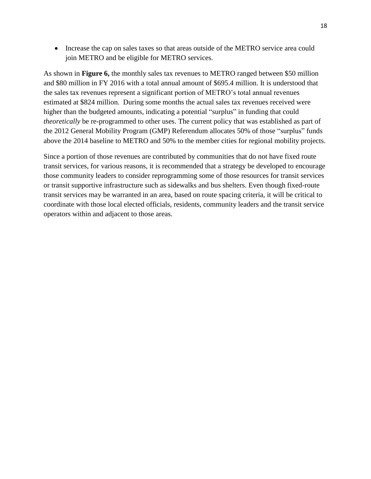• Increase the cap on sales taxes so that areas outside of the METRO service area could join METRO and be eligible for METRO services.

As shown in **Figure 6,** the monthly sales tax revenues to METRO ranged between \$50 million and \$80 million in FY 2016 with a total annual amount of \$695.4 million. It is understood that the sales tax revenues represent a significant portion of METRO's total annual revenues estimated at \$824 million. During some months the actual sales tax revenues received were higher than the budgeted amounts, indicating a potential "surplus" in funding that could *theoretically* be re-programmed to other uses. The current policy that was established as part of the 2012 General Mobility Program (GMP) Referendum allocates 50% of those "surplus" funds above the 2014 baseline to METRO and 50% to the member cities for regional mobility projects.

Since a portion of those revenues are contributed by communities that do not have fixed route transit services, for various reasons, it is recommended that a strategy be developed to encourage those community leaders to consider reprogramming some of those resources for transit services or transit supportive infrastructure such as sidewalks and bus shelters. Even though fixed-route transit services may be warranted in an area, based on route spacing criteria, it will be critical to coordinate with those local elected officials, residents, community leaders and the transit service operators within and adjacent to those areas.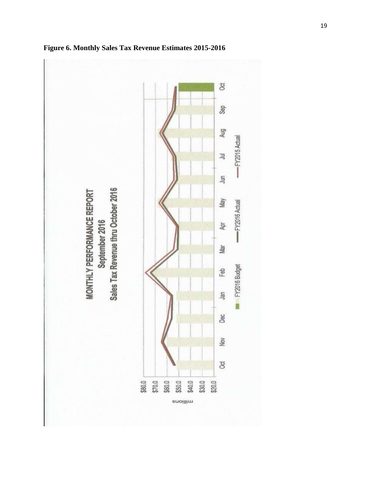

**Figure 6. Monthly Sales Tax Revenue Estimates 2015-2016**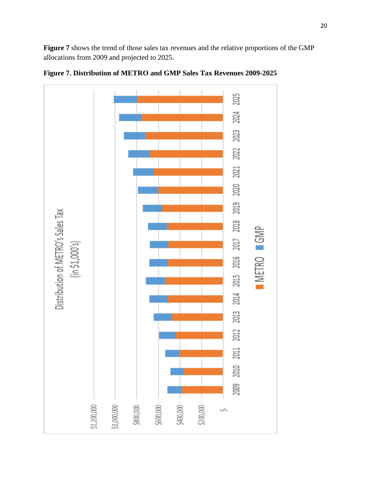**Figure 7** shows the trend of those sales tax revenues and the relative proportions of the GMP allocations from 2009 and projected to 2025.



**Figure 7. Distribution of METRO and GMP Sales Tax Revenues 2009-2025**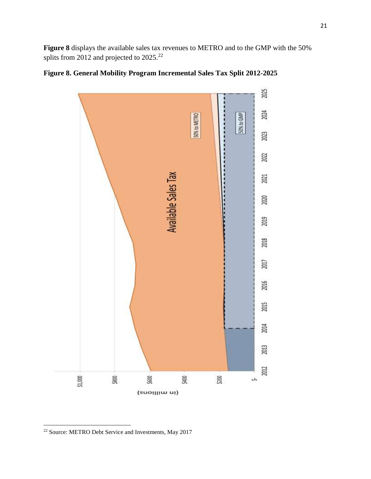**Figure 8** displays the available sales tax revenues to METRO and to the GMP with the 50% splits from 2012 and projected to 2025.<sup>22</sup>



# **Figure 8. General Mobility Program Incremental Sales Tax Split 2012-2025**

 $\overline{\phantom{a}}$ <sup>22</sup> Source: METRO Debt Service and Investments, May 2017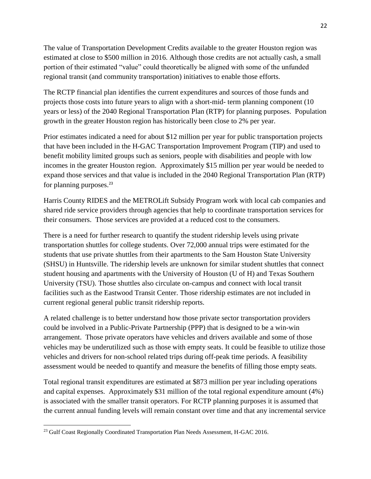The value of Transportation Development Credits available to the greater Houston region was estimated at close to \$500 million in 2016. Although those credits are not actually cash, a small portion of their estimated "value" could theoretically be aligned with some of the unfunded regional transit (and community transportation) initiatives to enable those efforts.

The RCTP financial plan identifies the current expenditures and sources of those funds and projects those costs into future years to align with a short-mid- term planning component (10 years or less) of the 2040 Regional Transportation Plan (RTP) for planning purposes. Population growth in the greater Houston region has historically been close to 2% per year.

Prior estimates indicated a need for about \$12 million per year for public transportation projects that have been included in the H-GAC Transportation Improvement Program (TIP) and used to benefit mobility limited groups such as seniors, people with disabilities and people with low incomes in the greater Houston region. Approximately \$15 million per year would be needed to expand those services and that value is included in the 2040 Regional Transportation Plan (RTP) for planning purposes.<sup>23</sup>

Harris County RIDES and the METROLift Subsidy Program work with local cab companies and shared ride service providers through agencies that help to coordinate transportation services for their consumers. Those services are provided at a reduced cost to the consumers.

There is a need for further research to quantify the student ridership levels using private transportation shuttles for college students. Over 72,000 annual trips were estimated for the students that use private shuttles from their apartments to the Sam Houston State University (SHSU) in Huntsville. The ridership levels are unknown for similar student shuttles that connect student housing and apartments with the University of Houston (U of H) and Texas Southern University (TSU). Those shuttles also circulate on-campus and connect with local transit facilities such as the Eastwood Transit Center. Those ridership estimates are not included in current regional general public transit ridership reports.

A related challenge is to better understand how those private sector transportation providers could be involved in a Public-Private Partnership (PPP) that is designed to be a win-win arrangement. Those private operators have vehicles and drivers available and some of those vehicles may be underutilized such as those with empty seats. It could be feasible to utilize those vehicles and drivers for non-school related trips during off-peak time periods. A feasibility assessment would be needed to quantify and measure the benefits of filling those empty seats.

Total regional transit expenditures are estimated at \$873 million per year including operations and capital expenses. Approximately \$31 million of the total regional expenditure amount (4%) is associated with the smaller transit operators. For RCTP planning purposes it is assumed that the current annual funding levels will remain constant over time and that any incremental service

<sup>&</sup>lt;sup>23</sup> Gulf Coast Regionally Coordinated Transportation Plan Needs Assessment, H-GAC 2016.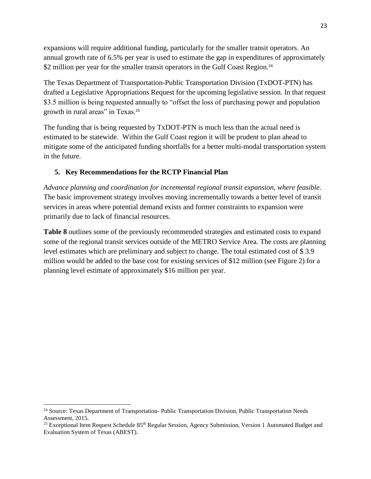expansions will require additional funding, particularly for the smaller transit operators. An annual growth rate of 6.5% per year is used to estimate the gap in expenditures of approximately \$2 million per year for the smaller transit operators in the Gulf Coast Region.<sup>24</sup>

The Texas Department of Transportation-Public Transportation Division (TxDOT-PTN) has drafted a Legislative Appropriations Request for the upcoming legislative session. In that request \$3.5 million is being requested annually to "offset the loss of purchasing power and population growth in rural areas" in Texas.<sup>25</sup>

The funding that is being requested by TxDOT-PTN is much less than the actual need is estimated to be statewide. Within the Gulf Coast region it will be prudent to plan ahead to mitigate some of the anticipated funding shortfalls for a better multi-modal transportation system in the future.

#### **5. Key Recommendations for the RCTP Financial Plan**

*Advance planning and coordination for incremental regional transit expansion, where feasible.* The basic improvement strategy involves moving incrementally towards a better level of transit services in areas where potential demand exists and former constraints to expansion were primarily due to lack of financial resources.

**Table 8** outlines some of the previously recommended strategies and estimated costs to expand some of the regional transit services outside of the METRO Service Area. The costs are planning level estimates which are preliminary and subject to change. The total estimated cost of \$ 3.9 million would be added to the base cost for existing services of \$12 million (see Figure 2) for a planning level estimate of approximately \$16 million per year.

<sup>&</sup>lt;sup>24</sup> Source: Texas Department of Transportation- Public Transportation Division, Public Transportation Needs Assessment, 2015.

<sup>&</sup>lt;sup>25</sup> Exceptional Item Request Schedule 85<sup>th</sup> Regular Session, Agency Submission, Version 1 Automated Budget and Evaluation System of Texas (ABEST).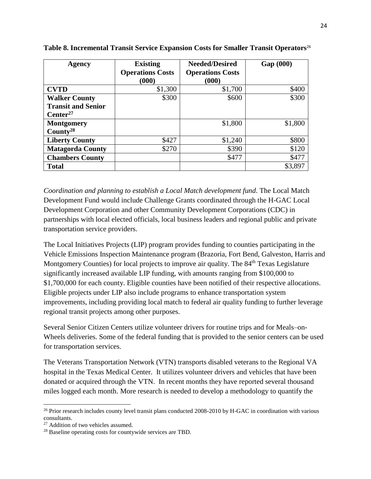| Agency                    | <b>Existing</b>         | <b>Needed/Desired</b>   | Gap (000) |
|---------------------------|-------------------------|-------------------------|-----------|
|                           | <b>Operations Costs</b> | <b>Operations Costs</b> |           |
|                           | (000)                   | (000)                   |           |
| <b>CVTD</b>               | \$1,300                 | \$1,700                 | \$400     |
| <b>Walker County</b>      | \$300                   | \$600                   | \$300     |
| <b>Transit and Senior</b> |                         |                         |           |
| Center <sup>27</sup>      |                         |                         |           |
| <b>Montgomery</b>         |                         | \$1,800                 | \$1,800   |
| County <sup>28</sup>      |                         |                         |           |
| <b>Liberty County</b>     | \$427                   | \$1,240                 | \$800     |
| <b>Matagorda County</b>   | \$270                   | \$390                   | \$120     |
| <b>Chambers County</b>    |                         | \$477                   | \$477     |
| <b>Total</b>              |                         |                         | \$3,897   |

**Table 8. Incremental Transit Service Expansion Costs for Smaller Transit Operators**<sup>26</sup> 

*Coordination and planning to establish a Local Match development fund*. The Local Match Development Fund would include Challenge Grants coordinated through the H-GAC Local Development Corporation and other Community Development Corporations (CDC) in partnerships with local elected officials, local business leaders and regional public and private transportation service providers.

The Local Initiatives Projects (LIP) program provides funding to counties participating in the Vehicle Emissions Inspection Maintenance program (Brazoria, Fort Bend, Galveston, Harris and Montgomery Counties) for local projects to improve air quality. The 84<sup>th</sup> Texas Legislature significantly increased available LIP funding, with amounts ranging from \$100,000 to \$1,700,000 for each county. Eligible counties have been notified of their respective allocations. Eligible projects under LIP also include programs to enhance transportation system improvements, including providing local match to federal air quality funding to further leverage regional transit projects among other purposes.

Several Senior Citizen Centers utilize volunteer drivers for routine trips and for Meals–on-Wheels deliveries. Some of the federal funding that is provided to the senior centers can be used for transportation services.

The Veterans Transportation Network (VTN) transports disabled veterans to the Regional VA hospital in the Texas Medical Center. It utilizes volunteer drivers and vehicles that have been donated or acquired through the VTN. In recent months they have reported several thousand miles logged each month. More research is needed to develop a methodology to quantify the

<sup>&</sup>lt;sup>26</sup> Prior research includes county level transit plans conducted 2008-2010 by H-GAC in coordination with various consultants.

<sup>&</sup>lt;sup>27</sup> Addition of two vehicles assumed.

<sup>28</sup> Baseline operating costs for countywide services are TBD.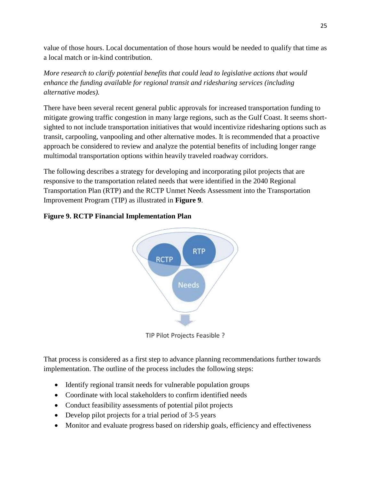value of those hours. Local documentation of those hours would be needed to qualify that time as a local match or in-kind contribution.

*More research to clarify potential benefits that could lead to legislative actions that would enhance the funding available for regional transit and ridesharing services (including alternative modes).* 

There have been several recent general public approvals for increased transportation funding to mitigate growing traffic congestion in many large regions, such as the Gulf Coast. It seems shortsighted to not include transportation initiatives that would incentivize ridesharing options such as transit, carpooling, vanpooling and other alternative modes. It is recommended that a proactive approach be considered to review and analyze the potential benefits of including longer range multimodal transportation options within heavily traveled roadway corridors.

The following describes a strategy for developing and incorporating pilot projects that are responsive to the transportation related needs that were identified in the 2040 Regional Transportation Plan (RTP) and the RCTP Unmet Needs Assessment into the Transportation Improvement Program (TIP) as illustrated in **Figure 9**.

# **Figure 9. RCTP Financial Implementation Plan**



TIP Pilot Projects Feasible ?

That process is considered as a first step to advance planning recommendations further towards implementation. The outline of the process includes the following steps:

- Identify regional transit needs for vulnerable population groups
- Coordinate with local stakeholders to confirm identified needs
- Conduct feasibility assessments of potential pilot projects
- Develop pilot projects for a trial period of 3-5 years
- Monitor and evaluate progress based on ridership goals, efficiency and effectiveness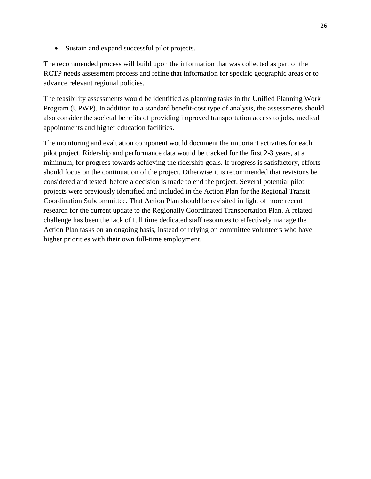Sustain and expand successful pilot projects.

The recommended process will build upon the information that was collected as part of the RCTP needs assessment process and refine that information for specific geographic areas or to advance relevant regional policies.

The feasibility assessments would be identified as planning tasks in the Unified Planning Work Program (UPWP). In addition to a standard benefit-cost type of analysis, the assessments should also consider the societal benefits of providing improved transportation access to jobs, medical appointments and higher education facilities.

The monitoring and evaluation component would document the important activities for each pilot project. Ridership and performance data would be tracked for the first 2-3 years, at a minimum, for progress towards achieving the ridership goals. If progress is satisfactory, efforts should focus on the continuation of the project. Otherwise it is recommended that revisions be considered and tested, before a decision is made to end the project. Several potential pilot projects were previously identified and included in the Action Plan for the Regional Transit Coordination Subcommittee. That Action Plan should be revisited in light of more recent research for the current update to the Regionally Coordinated Transportation Plan. A related challenge has been the lack of full time dedicated staff resources to effectively manage the Action Plan tasks on an ongoing basis, instead of relying on committee volunteers who have higher priorities with their own full-time employment.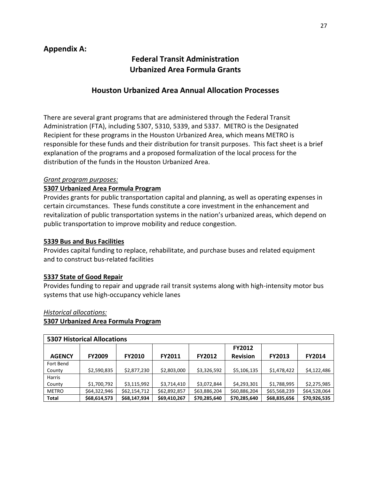# **Federal Transit Administration Urbanized Area Formula Grants**

# **Houston Urbanized Area Annual Allocation Processes**

There are several grant programs that are administered through the Federal Transit Administration (FTA), including 5307, 5310, 5339, and 5337. METRO is the Designated Recipient for these programs in the Houston Urbanized Area, which means METRO is responsible for these funds and their distribution for transit purposes. This fact sheet is a brief explanation of the programs and a proposed formalization of the local process for the distribution of the funds in the Houston Urbanized Area.

# *Grant program purposes:*

# **5307 Urbanized Area Formula Program**

Provides grants for public transportation capital and planning, as well as operating expenses in certain circumstances. These funds constitute a core investment in the enhancement and revitalization of public transportation systems in the nation's urbanized areas, which depend on public transportation to improve mobility and reduce congestion.

# **5339 Bus and Bus Facilities**

Provides capital funding to replace, rehabilitate, and purchase buses and related equipment and to construct bus-related facilities

# **5337 State of Good Repair**

Provides funding to repair and upgrade rail transit systems along with high-intensity motor bus systems that use high-occupancy vehicle lanes

# *Historical allocations:*

# **5307 Urbanized Area Formula Program**

| <b>5307 Historical Allocations</b> |               |               |               |               |                 |               |               |
|------------------------------------|---------------|---------------|---------------|---------------|-----------------|---------------|---------------|
|                                    |               |               |               |               | <b>FY2012</b>   |               |               |
| <b>AGENCY</b>                      | <b>FY2009</b> | <b>FY2010</b> | <b>FY2011</b> | <b>FY2012</b> | <b>Revision</b> | <b>FY2013</b> | <b>FY2014</b> |
| Fort Bend                          |               |               |               |               |                 |               |               |
| County                             | \$2,590,835   | \$2,877,230   | \$2,803,000   | \$3,326,592   | \$5,106,135     | \$1,478,422   | \$4,122,486   |
| Harris                             |               |               |               |               |                 |               |               |
| County                             | \$1,700,792   | \$3,115,992   | \$3,714,410   | \$3,072,844   | \$4,293,301     | \$1,788,995   | \$2,275,985   |
| <b>METRO</b>                       | \$64,322,946  | \$62,154,712  | \$62,892,857  | \$63,886,204  | \$60,886,204    | \$65,568,239  | \$64,528,064  |
| <b>Total</b>                       | \$68,614,573  | \$68,147,934  | \$69,410,267  | \$70,285,640  | \$70,285,640    | \$68,835,656  | \$70,926,535  |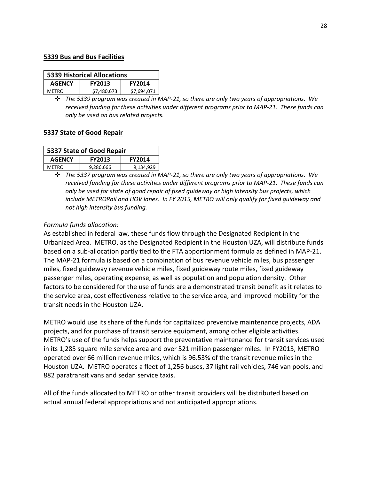#### **5339 Bus and Bus Facilities**

| <b>5339 Historical Allocations</b>              |             |             |  |  |  |
|-------------------------------------------------|-------------|-------------|--|--|--|
| <b>AGENCY</b><br><b>FY2013</b><br><b>FY2014</b> |             |             |  |  |  |
| <b>MFTRO</b>                                    | \$7,480,673 | \$7,694,071 |  |  |  |

*The 5339 program was created in MAP-21, so there are only two years of appropriations. We received funding for these activities under different programs prior to MAP-21. These funds can only be used on bus related projects.*

#### **5337 State of Good Repair**

| 5337 State of Good Repair                       |           |           |  |  |  |  |
|-------------------------------------------------|-----------|-----------|--|--|--|--|
| <b>AGENCY</b><br><b>FY2014</b><br><b>FY2013</b> |           |           |  |  |  |  |
| <b>MFTRO</b>                                    | 9,286,666 | 9,134,929 |  |  |  |  |

 *The 5337 program was created in MAP-21, so there are only two years of appropriations. We received funding for these activities under different programs prior to MAP-21. These funds can only be used for state of good repair of fixed guideway or high intensity bus projects, which include METRORail and HOV lanes. In FY 2015, METRO will only qualify for fixed guideway and not high intensity bus funding.*

#### *Formula funds allocation:*

As established in federal law, these funds flow through the Designated Recipient in the Urbanized Area. METRO, as the Designated Recipient in the Houston UZA, will distribute funds based on a sub-allocation partly tied to the FTA apportionment formula as defined in MAP-21. The MAP-21 formula is based on a combination of bus revenue vehicle miles, bus passenger miles, fixed guideway revenue vehicle miles, fixed guideway route miles, fixed guideway passenger miles, operating expense, as well as population and population density. Other factors to be considered for the use of funds are a demonstrated transit benefit as it relates to the service area, cost effectiveness relative to the service area, and improved mobility for the transit needs in the Houston UZA.

METRO would use its share of the funds for capitalized preventive maintenance projects, ADA projects, and for purchase of transit service equipment, among other eligible activities. METRO's use of the funds helps support the preventative maintenance for transit services used in its 1,285 square mile service area and over 521 million passenger miles. In FY2013, METRO operated over 66 million revenue miles, which is 96.53% of the transit revenue miles in the Houston UZA. METRO operates a fleet of 1,256 buses, 37 light rail vehicles, 746 van pools, and 882 paratransit vans and sedan service taxis.

All of the funds allocated to METRO or other transit providers will be distributed based on actual annual federal appropriations and not anticipated appropriations.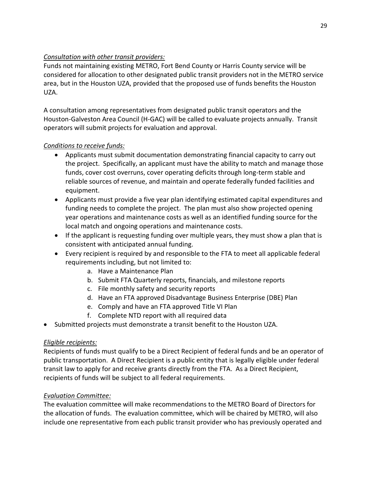# *Consultation with other transit providers:*

Funds not maintaining existing METRO, Fort Bend County or Harris County service will be considered for allocation to other designated public transit providers not in the METRO service area, but in the Houston UZA, provided that the proposed use of funds benefits the Houston UZA.

A consultation among representatives from designated public transit operators and the Houston-Galveston Area Council (H-GAC) will be called to evaluate projects annually. Transit operators will submit projects for evaluation and approval.

# *Conditions to receive funds:*

- Applicants must submit documentation demonstrating financial capacity to carry out the project. Specifically, an applicant must have the ability to match and manage those funds, cover cost overruns, cover operating deficits through long-term stable and reliable sources of revenue, and maintain and operate federally funded facilities and equipment.
- Applicants must provide a five year plan identifying estimated capital expenditures and funding needs to complete the project. The plan must also show projected opening year operations and maintenance costs as well as an identified funding source for the local match and ongoing operations and maintenance costs.
- If the applicant is requesting funding over multiple years, they must show a plan that is consistent with anticipated annual funding.
- Every recipient is required by and responsible to the FTA to meet all applicable federal requirements including, but not limited to:
	- a. Have a Maintenance Plan
	- b. Submit FTA Quarterly reports, financials, and milestone reports
	- c. File monthly safety and security reports
	- d. Have an FTA approved Disadvantage Business Enterprise (DBE) Plan
	- e. Comply and have an FTA approved Title VI Plan
	- f. Complete NTD report with all required data
- Submitted projects must demonstrate a transit benefit to the Houston UZA.

# *Eligible recipients:*

Recipients of funds must qualify to be a Direct Recipient of federal funds and be an operator of public transportation. A Direct Recipient is a public entity that is legally eligible under federal transit law to apply for and receive grants directly from the FTA. As a Direct Recipient, recipients of funds will be subject to all federal requirements.

# *Evaluation Committee:*

The evaluation committee will make recommendations to the METRO Board of Directors for the allocation of funds. The evaluation committee, which will be chaired by METRO, will also include one representative from each public transit provider who has previously operated and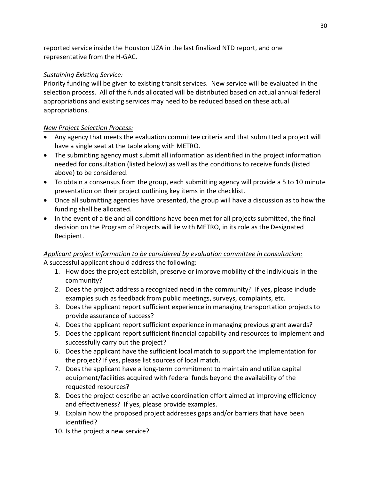reported service inside the Houston UZA in the last finalized NTD report, and one representative from the H-GAC.

# *Sustaining Existing Service:*

Priority funding will be given to existing transit services. New service will be evaluated in the selection process. All of the funds allocated will be distributed based on actual annual federal appropriations and existing services may need to be reduced based on these actual appropriations.

# *New Project Selection Process:*

- Any agency that meets the evaluation committee criteria and that submitted a project will have a single seat at the table along with METRO.
- The submitting agency must submit all information as identified in the project information needed for consultation (listed below) as well as the conditions to receive funds (listed above) to be considered.
- To obtain a consensus from the group, each submitting agency will provide a 5 to 10 minute presentation on their project outlining key items in the checklist.
- Once all submitting agencies have presented, the group will have a discussion as to how the funding shall be allocated.
- In the event of a tie and all conditions have been met for all projects submitted, the final decision on the Program of Projects will lie with METRO, in its role as the Designated Recipient.

# *Applicant project information to be considered by evaluation committee in consultation:* A successful applicant should address the following:

- 1. How does the project establish, preserve or improve mobility of the individuals in the community?
- 2. Does the project address a recognized need in the community? If yes, please include examples such as feedback from public meetings, surveys, complaints, etc.
- 3. Does the applicant report sufficient experience in managing transportation projects to provide assurance of success?
- 4. Does the applicant report sufficient experience in managing previous grant awards?
- 5. Does the applicant report sufficient financial capability and resources to implement and successfully carry out the project?
- 6. Does the applicant have the sufficient local match to support the implementation for the project? If yes, please list sources of local match.
- 7. Does the applicant have a long-term commitment to maintain and utilize capital equipment/facilities acquired with federal funds beyond the availability of the requested resources?
- 8. Does the project describe an active coordination effort aimed at improving efficiency and effectiveness? If yes, please provide examples.
- 9. Explain how the proposed project addresses gaps and/or barriers that have been identified?
- 10. Is the project a new service?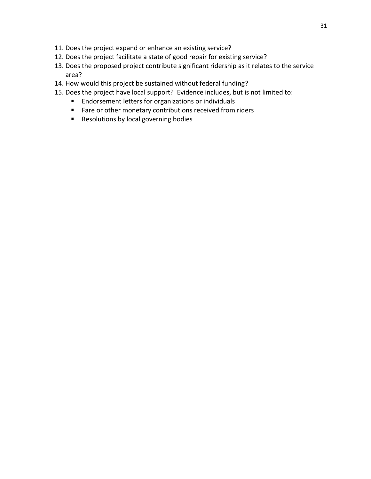- 11. Does the project expand or enhance an existing service?
- 12. Does the project facilitate a state of good repair for existing service?
- 13. Does the proposed project contribute significant ridership as it relates to the service area?
- 14. How would this project be sustained without federal funding?
- 15. Does the project have local support? Evidence includes, but is not limited to:
	- **Endorsement letters for organizations or individuals**
	- **Fare or other monetary contributions received from riders**
	- **Resolutions by local governing bodies**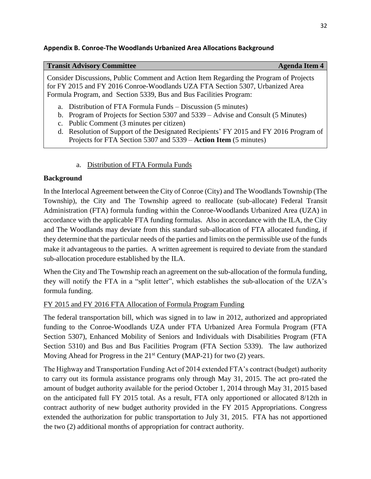#### **Appendix B. Conroe-The Woodlands Urbanized Area Allocations Background**

#### **Transit Advisory Committee Agents Agents Agenda Item 4**

Consider Discussions, Public Comment and Action Item Regarding the Program of Projects for FY 2015 and FY 2016 Conroe-Woodlands UZA FTA Section 5307, Urbanized Area Formula Program, and Section 5339, Bus and Bus Facilities Program:

- a. Distribution of FTA Formula Funds Discussion (5 minutes)
- b. Program of Projects for Section 5307 and 5339 Advise and Consult (5 Minutes)
- c. Public Comment (3 minutes per citizen)
- d. Resolution of Support of the Designated Recipients' FY 2015 and FY 2016 Program of Projects for FTA Section 5307 and 5339 – **Action Item** (5 minutes)

# a. Distribution of FTA Formula Funds

# **Background**

In the Interlocal Agreement between the City of Conroe (City) and The Woodlands Township (The Township), the City and The Township agreed to reallocate (sub-allocate) Federal Transit Administration (FTA) formula funding within the Conroe-Woodlands Urbanized Area (UZA) in accordance with the applicable FTA funding formulas. Also in accordance with the ILA, the City and The Woodlands may deviate from this standard sub-allocation of FTA allocated funding, if they determine that the particular needs of the parties and limits on the permissible use of the funds make it advantageous to the parties. A written agreement is required to deviate from the standard sub-allocation procedure established by the ILA.

When the City and The Township reach an agreement on the sub-allocation of the formula funding, they will notify the FTA in a "split letter", which establishes the sub-allocation of the UZA's formula funding.

# FY 2015 and FY 2016 FTA Allocation of Formula Program Funding

The federal transportation bill, which was signed in to law in 2012, authorized and appropriated funding to the Conroe-Woodlands UZA under FTA Urbanized Area Formula Program (FTA Section 5307), Enhanced Mobility of Seniors and Individuals with Disabilities Program (FTA Section 5310) and Bus and Bus Facilities Program (FTA Section 5339). The law authorized Moving Ahead for Progress in the  $21<sup>st</sup>$  Century (MAP-21) for two (2) years.

The Highway and Transportation Funding Act of 2014 extended FTA's contract (budget) authority to carry out its formula assistance programs only through May 31, 2015. The act pro-rated the amount of budget authority available for the period October 1, 2014 through May 31, 2015 based on the anticipated full FY 2015 total. As a result, FTA only apportioned or allocated 8/12th in contract authority of new budget authority provided in the FY 2015 Appropriations. Congress extended the authorization for public transportation to July 31, 2015. FTA has not apportioned the two (2) additional months of appropriation for contract authority.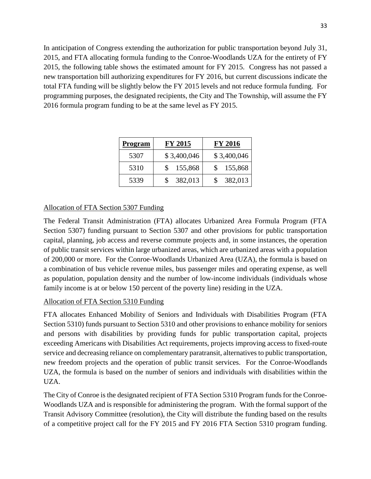In anticipation of Congress extending the authorization for public transportation beyond July 31, 2015, and FTA allocating formula funding to the Conroe-Woodlands UZA for the entirety of FY 2015, the following table shows the estimated amount for FY 2015. Congress has not passed a new transportation bill authorizing expenditures for FY 2016, but current discussions indicate the total FTA funding will be slightly below the FY 2015 levels and not reduce formula funding. For programming purposes, the designated recipients, the City and The Township, will assume the FY 2016 formula program funding to be at the same level as FY 2015.

| Program | FY 2015     | <b>FY 2016</b> |
|---------|-------------|----------------|
| 5307    | \$3,400,046 | \$3,400,046    |
| 5310    | 155,868     | 155,868<br>\$. |
| 5339    | 382,013     | 382,013        |

# Allocation of FTA Section 5307 Funding

The Federal Transit Administration (FTA) allocates Urbanized Area Formula Program (FTA Section 5307) funding pursuant to Section 5307 and other provisions for public transportation capital, planning, job access and reverse commute projects and, in some instances, the operation of public transit services within large urbanized areas, which are urbanized areas with a population of 200,000 or more. For the Conroe-Woodlands Urbanized Area (UZA), the formula is based on a combination of bus vehicle revenue miles, bus passenger miles and operating expense, as well as population, population density and the number of low-income individuals (individuals whose family income is at or below 150 percent of the poverty line) residing in the UZA.

# Allocation of FTA Section 5310 Funding

FTA allocates Enhanced Mobility of Seniors and Individuals with Disabilities Program (FTA Section 5310) funds pursuant to Section 5310 and other provisions to enhance mobility for seniors and persons with disabilities by providing funds for public transportation capital, projects exceeding Americans with Disabilities Act requirements, projects improving access to fixed-route service and decreasing reliance on complementary paratransit, alternatives to public transportation, new freedom projects and the operation of public transit services. For the Conroe-Woodlands UZA, the formula is based on the number of seniors and individuals with disabilities within the UZA.

The City of Conroe is the designated recipient of FTA Section 5310 Program funds for the Conroe-Woodlands UZA and is responsible for administering the program. With the formal support of the Transit Advisory Committee (resolution), the City will distribute the funding based on the results of a competitive project call for the FY 2015 and FY 2016 FTA Section 5310 program funding.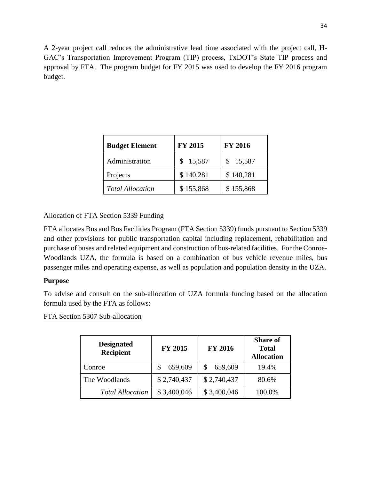A 2-year project call reduces the administrative lead time associated with the project call, H-GAC's Transportation Improvement Program (TIP) process, TxDOT's State TIP process and approval by FTA. The program budget for FY 2015 was used to develop the FY 2016 program budget.

| <b>Budget Element</b>   | <b>FY 2015</b> | <b>FY 2016</b> |
|-------------------------|----------------|----------------|
| Administration          | 15,587         | 15,587<br>S.   |
| Projects                | \$140,281      | \$140,281      |
| <b>Total Allocation</b> | \$155,868      | \$155,868      |

# Allocation of FTA Section 5339 Funding

FTA allocates Bus and Bus Facilities Program (FTA Section 5339) funds pursuant to Section 5339 and other provisions for public transportation capital including replacement, rehabilitation and purchase of buses and related equipment and construction of bus-related facilities. For the Conroe-Woodlands UZA, the formula is based on a combination of bus vehicle revenue miles, bus passenger miles and operating expense, as well as population and population density in the UZA.

# **Purpose**

To advise and consult on the sub-allocation of UZA formula funding based on the allocation formula used by the FTA as follows:

FTA Section 5307 Sub-allocation

| <b>Designated</b><br><b>Recipient</b> | <b>FY 2015</b> | <b>FY 2016</b> | <b>Share of</b><br><b>Total</b><br><b>Allocation</b> |
|---------------------------------------|----------------|----------------|------------------------------------------------------|
| Conroe                                | 659,609        | 659,609        | 19.4%                                                |
| The Woodlands                         | \$2,740,437    | \$2,740,437    | 80.6%                                                |
| <b>Total Allocation</b>               | \$3,400,046    | \$3,400,046    | 100.0%                                               |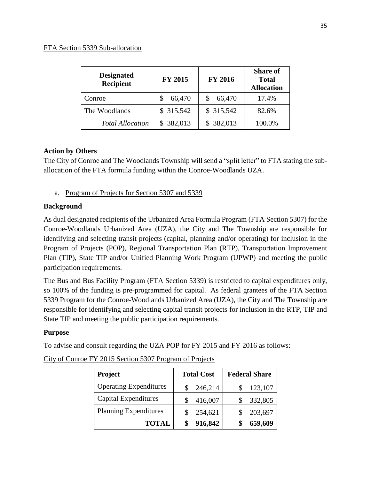| <b>Designated</b><br><b>Recipient</b> | <b>FY 2015</b> | <b>FY 2016</b> | <b>Share of</b><br><b>Total</b><br><b>Allocation</b> |
|---------------------------------------|----------------|----------------|------------------------------------------------------|
| Conroe                                | 66,470         | 66,470         | 17.4%                                                |
| The Woodlands                         | \$315,542      | \$315,542      | 82.6%                                                |
| <b>Total Allocation</b>               | \$382,013      | \$382,013      | 100.0%                                               |

# **Action by Others**

The City of Conroe and The Woodlands Township will send a "split letter" to FTA stating the suballocation of the FTA formula funding within the Conroe-Woodlands UZA.

# a. Program of Projects for Section 5307 and 5339

# **Background**

As dual designated recipients of the Urbanized Area Formula Program (FTA Section 5307) for the Conroe-Woodlands Urbanized Area (UZA), the City and The Township are responsible for identifying and selecting transit projects (capital, planning and/or operating) for inclusion in the Program of Projects (POP), Regional Transportation Plan (RTP), Transportation Improvement Plan (TIP), State TIP and/or Unified Planning Work Program (UPWP) and meeting the public participation requirements.

The Bus and Bus Facility Program (FTA Section 5339) is restricted to capital expenditures only, so 100% of the funding is pre-programmed for capital. As federal grantees of the FTA Section 5339 Program for the Conroe-Woodlands Urbanized Area (UZA), the City and The Township are responsible for identifying and selecting capital transit projects for inclusion in the RTP, TIP and State TIP and meeting the public participation requirements.

# **Purpose**

To advise and consult regarding the UZA POP for FY 2015 and FY 2016 as follows:

| <b>Project</b>                | <b>Total Cost</b> | <b>Federal Share</b> |  |  |  |
|-------------------------------|-------------------|----------------------|--|--|--|
| <b>Operating Expenditures</b> | 246,214           | 123,107              |  |  |  |
| <b>Capital Expenditures</b>   | 416,007           | 332,805              |  |  |  |
| <b>Planning Expenditures</b>  | 254,621           | 203,697              |  |  |  |
| <b>TOTAL</b>                  | 916,842           | 659,609              |  |  |  |

|  |  |  | City of Conroe FY 2015 Section 5307 Program of Projects |  |
|--|--|--|---------------------------------------------------------|--|
|  |  |  |                                                         |  |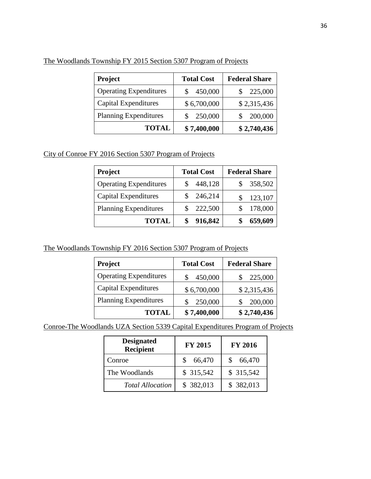| <b>Project</b>                | <b>Total Cost</b> | <b>Federal Share</b> |
|-------------------------------|-------------------|----------------------|
| <b>Operating Expenditures</b> | 450,000           | 225,000              |
| <b>Capital Expenditures</b>   | \$6,700,000       | \$2,315,436          |
| <b>Planning Expenditures</b>  | 250,000           | 200,000              |
| <b>TOTAL</b>                  | \$7,400,000       | \$2,740,436          |

The Woodlands Township FY 2015 Section 5307 Program of Projects

City of Conroe FY 2016 Section 5307 Program of Projects

| <b>Project</b>                | <b>Total Cost</b> | <b>Federal Share</b> |  |  |
|-------------------------------|-------------------|----------------------|--|--|
| <b>Operating Expenditures</b> | 448,128           | \$358,502            |  |  |
| Capital Expenditures          | 246,214           | 123,107              |  |  |
| <b>Planning Expenditures</b>  | 222,500           | 178,000              |  |  |
| <b>TOTAL</b>                  | 916,842           | 659,609              |  |  |

The Woodlands Township FY 2016 Section 5307 Program of Projects

| <b>Project</b>                | <b>Total Cost</b> | <b>Federal Share</b> |
|-------------------------------|-------------------|----------------------|
| <b>Operating Expenditures</b> | 450,000           | 225,000              |
| <b>Capital Expenditures</b>   | \$6,700,000       | \$2,315,436          |
| <b>Planning Expenditures</b>  | 250,000           | 200,000              |
| <b>TOTAL</b>                  | \$7,400,000       | \$2,740,436          |

Conroe-The Woodlands UZA Section 5339 Capital Expenditures Program of Projects

| <b>Designated</b><br><b>Recipient</b> | <b>FY 2015</b> | <b>FY 2016</b> |
|---------------------------------------|----------------|----------------|
| Conroe                                | 66,470         | 66,470         |
| The Woodlands                         | \$315,542      | \$ 315,542     |
| <b>Total Allocation</b>               | \$382,013      | \$382,013      |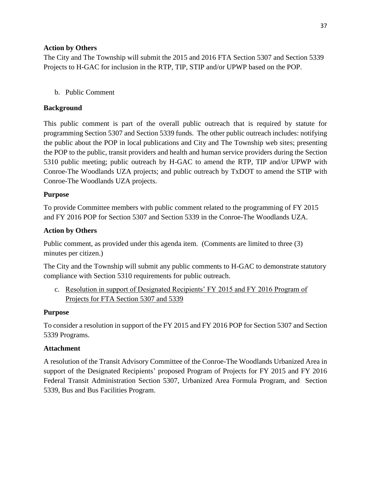# **Action by Others**

The City and The Township will submit the 2015 and 2016 FTA Section 5307 and Section 5339 Projects to H-GAC for inclusion in the RTP, TIP, STIP and/or UPWP based on the POP.

# b. Public Comment

# **Background**

This public comment is part of the overall public outreach that is required by statute for programming Section 5307 and Section 5339 funds. The other public outreach includes: notifying the public about the POP in local publications and City and The Township web sites; presenting the POP to the public, transit providers and health and human service providers during the Section 5310 public meeting; public outreach by H-GAC to amend the RTP, TIP and/or UPWP with Conroe-The Woodlands UZA projects; and public outreach by TxDOT to amend the STIP with Conroe-The Woodlands UZA projects.

# **Purpose**

To provide Committee members with public comment related to the programming of FY 2015 and FY 2016 POP for Section 5307 and Section 5339 in the Conroe-The Woodlands UZA.

# **Action by Others**

Public comment, as provided under this agenda item. (Comments are limited to three (3) minutes per citizen.)

The City and the Township will submit any public comments to H-GAC to demonstrate statutory compliance with Section 5310 requirements for public outreach.

c. Resolution in support of Designated Recipients' FY 2015 and FY 2016 Program of Projects for FTA Section 5307 and 5339

# **Purpose**

To consider a resolution in support of the FY 2015 and FY 2016 POP for Section 5307 and Section 5339 Programs.

# **Attachment**

A resolution of the Transit Advisory Committee of the Conroe-The Woodlands Urbanized Area in support of the Designated Recipients' proposed Program of Projects for FY 2015 and FY 2016 Federal Transit Administration Section 5307, Urbanized Area Formula Program, and Section 5339, Bus and Bus Facilities Program.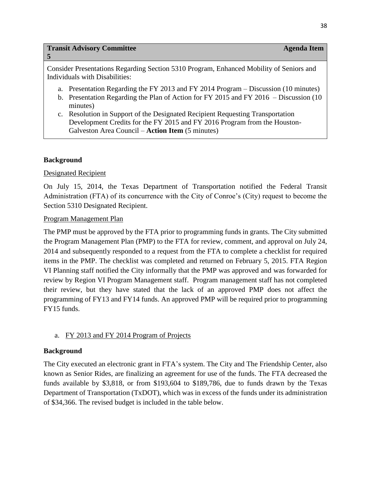#### **Transit Advisory Committee Agents Agents Agenda Item <b>Agenda** Item **Agenda** Item **Agenda** Item **Agenda** Item **Agenda** Item **Agenda** Item **Agenda** Item **Agenda** Item **Agenda** Item **Agenda** Item **Agenda** Item **Agenda** Item

#### **5**

Consider Presentations Regarding Section 5310 Program, Enhanced Mobility of Seniors and Individuals with Disabilities:

- a. Presentation Regarding the FY 2013 and FY 2014 Program Discussion (10 minutes)
- b. Presentation Regarding the Plan of Action for FY 2015 and FY 2016 Discussion (10 minutes)
- c. Resolution in Support of the Designated Recipient Requesting Transportation Development Credits for the FY 2015 and FY 2016 Program from the Houston-Galveston Area Council – **Action Item** (5 minutes)

# **Background**

#### Designated Recipient

On July 15, 2014, the Texas Department of Transportation notified the Federal Transit Administration (FTA) of its concurrence with the City of Conroe's (City) request to become the Section 5310 Designated Recipient.

#### Program Management Plan

The PMP must be approved by the FTA prior to programming funds in grants. The City submitted the Program Management Plan (PMP) to the FTA for review, comment, and approval on July 24, 2014 and subsequently responded to a request from the FTA to complete a checklist for required items in the PMP. The checklist was completed and returned on February 5, 2015. FTA Region VI Planning staff notified the City informally that the PMP was approved and was forwarded for review by Region VI Program Management staff. Program management staff has not completed their review, but they have stated that the lack of an approved PMP does not affect the programming of FY13 and FY14 funds. An approved PMP will be required prior to programming FY15 funds.

# a. FY 2013 and FY 2014 Program of Projects

#### **Background**

The City executed an electronic grant in FTA's system. The City and The Friendship Center, also known as Senior Rides, are finalizing an agreement for use of the funds. The FTA decreased the funds available by \$3,818, or from \$193,604 to \$189,786, due to funds drawn by the Texas Department of Transportation (TxDOT), which was in excess of the funds under its administration of \$34,366. The revised budget is included in the table below.